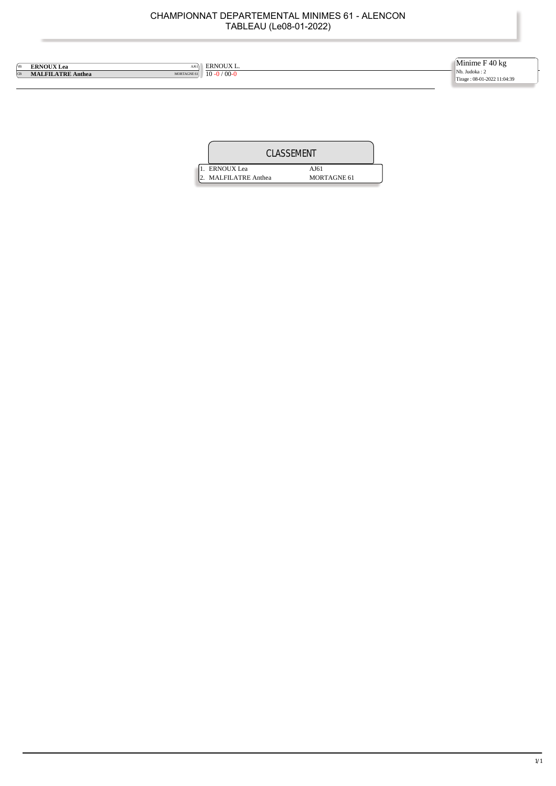| <b>VB</b> | <b>ERNOUX Lea</b><br>AJ61 | <b>ERNOUX L.</b>          | Minime $F$ 40 kg            |
|-----------|---------------------------|---------------------------|-----------------------------|
| <b>CB</b> | <b>MALFILATRE Anthea</b>  | MORTAGNE 61 10 - 0 / 00-0 | Nb. Judoka: 2               |
|           |                           |                           | Tirage: 08-01-2022 11:04:39 |

|                      | <b>CLASSEMENT</b>  |  |
|----------------------|--------------------|--|
| . ERNOUX Lea         | AJ61               |  |
| 2. MALFILATRE Anthea | <b>MORTAGNE 61</b> |  |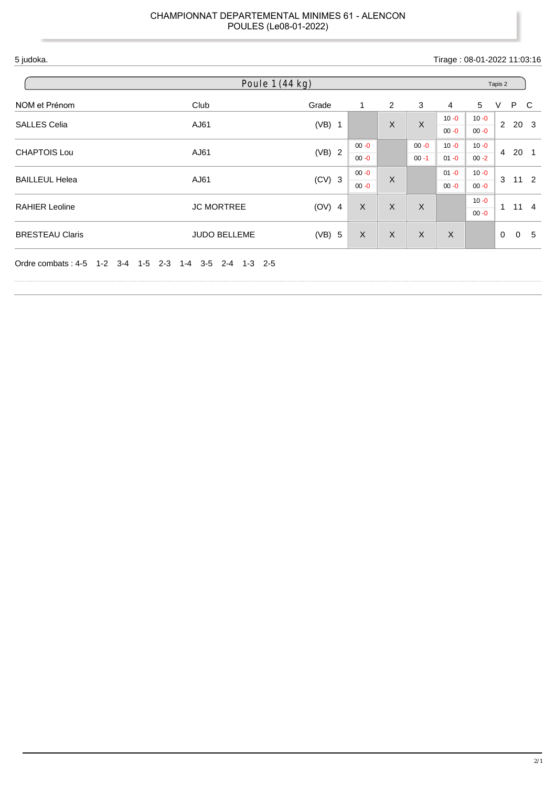#### 5 judoka. Tirage : 08-01-2022 11:03:16 NOM et Prénom Club Grade 1 2 3 4 5 V P C SALLES Celia **AJ61** AJ61 (VB) 1 X X X  $10 - 0$ 00 -0  $10 - 0$ 00 -0 2 20 3 CHAPTOIS Lou AJ61 (VB) 2 00 -0 00 -0  $00 - 0$ 00 -1  $10 - 0$  $01 - 0$  $10 - 0$ 00 -2 4 20 1 BAILLEUL Helea AJ61 (CV) 3  $00 - 0$  $00 - 0$ X  $01 - 0$ 00 -0 10 $-0$ 00 -0 3 11 2 RAHIER Leoline  $JC$  MORTREE (OV) 4 X X X X 10 $-0$ 00 -0 1 11 4 BRESTEAU Claris JUDO BELLEME (VB) 5 X X X X 0 0 5 Ordre combats : 4-5 1-2 3-4 1-5 2-3 1-4 3-5 2-4 1-3 2-5 Poule 1 (44 kg) Tapis 2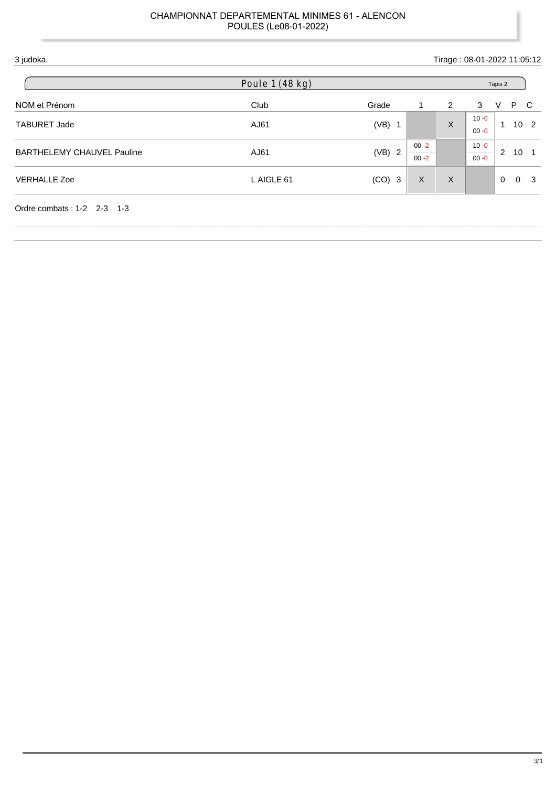| 3 judoka.                         |                 |          |                      |   | Tirage: 08-01-2022 11:05:12 |                                 |    |
|-----------------------------------|-----------------|----------|----------------------|---|-----------------------------|---------------------------------|----|
|                                   | Poule 1 (48 kg) |          |                      |   |                             | Tapis 2                         |    |
| NOM et Prénom                     | Club            | Grade    | 1                    | 2 | 3                           | P C<br>V                        |    |
| <b>TABURET Jade</b>               | AJ61            | $(VB)$ 1 |                      | X | $10 - 0$<br>$00 - 0$        | 10 <sub>2</sub><br>$\mathbf{1}$ |    |
| <b>BARTHELEMY CHAUVEL Pauline</b> | AJ61            | (VB) 2   | $00 - 2$<br>$00 - 2$ |   | $10 - 0$<br>$00 - 0$        | 2<br>10                         |    |
| <b>VERHALLE Zoe</b>               | L AIGLE 61      | $(CO)$ 3 | X                    | X |                             | $\Omega$<br>$\Omega$            | -3 |
| Ordre combats: 1-2 2-3 1-3        |                 |          |                      |   |                             |                                 |    |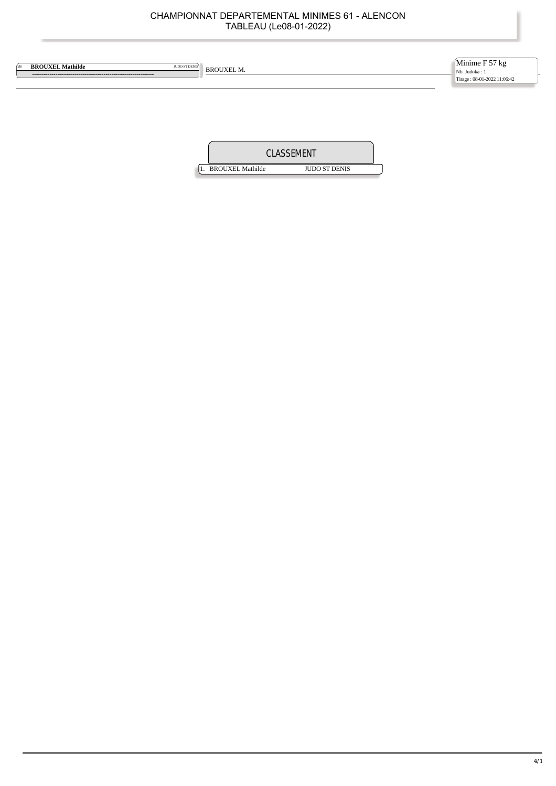| <b>BROUXEL Mathilde</b><br>VB | JUDO ST DENIS | <b>BROUXEL M.</b> | Minime F 57 kg<br>Nb. Judoka: 1<br>Tirage: 08-01-2022 11:06:42 |
|-------------------------------|---------------|-------------------|----------------------------------------------------------------|
|                               |               |                   |                                                                |
|                               |               | EMENT             |                                                                |

1. BROUXEL Mathilde JUDO ST DENIS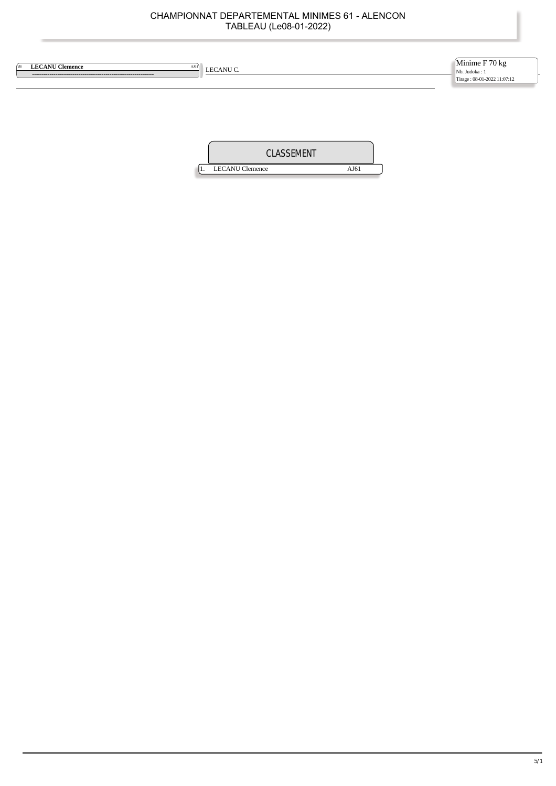| <b>LECANU Clemence</b><br>[VB<br>$\left $ LECANU C. | Minime $F$ 70 kg<br>Nb. Judoka : 1<br>Tirage: 08-01-2022 11:07:12 |
|-----------------------------------------------------|-------------------------------------------------------------------|
|                                                     |                                                                   |

| CLASSEMENT             |      |  |
|------------------------|------|--|
| <b>LECANU</b> Clemence | AJ6! |  |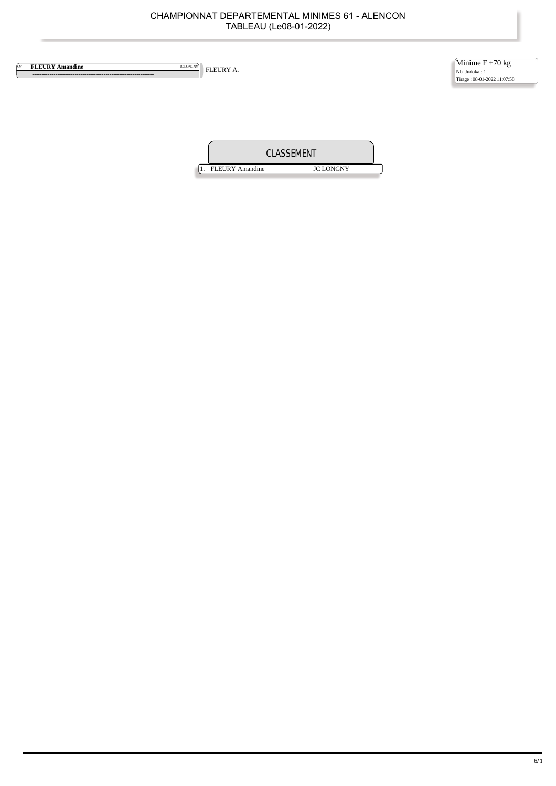| <b>FLEURY Amandine</b><br>JC LONGNY<br>ſcv | FLEURY A. | Minime $F + 70$ kg<br>Nb. Judoka: 1<br>Tirage: 08-01-2022 11:07:58 |
|--------------------------------------------|-----------|--------------------------------------------------------------------|
|                                            |           |                                                                    |

| CLASSEMENT |                        |                  |  |
|------------|------------------------|------------------|--|
|            | <b>FLEURY</b> Amandine | <b>JC LONGNY</b> |  |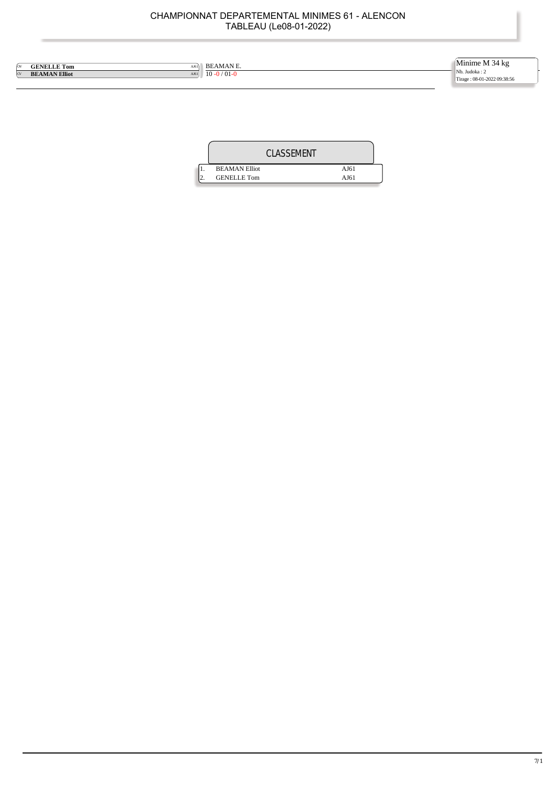| ſov      | <b>GENELLE Tom</b><br>AJ61   | <b>BEAMANE.</b>   | Minime M 34 kg                               |
|----------|------------------------------|-------------------|----------------------------------------------|
| $\alpha$ | <b>BEAMAN Elliot</b><br>AJ61 | $10 - 0 / 01 - 0$ | Nb. Judoka: 2<br>Tirage: 08-01-2022 09:38:56 |

|                      | <b>CLASSEMENT</b> |
|----------------------|-------------------|
| <b>BEAMAN Elliot</b> | AJ61              |
| <b>GENELLE Tom</b>   | AJ61              |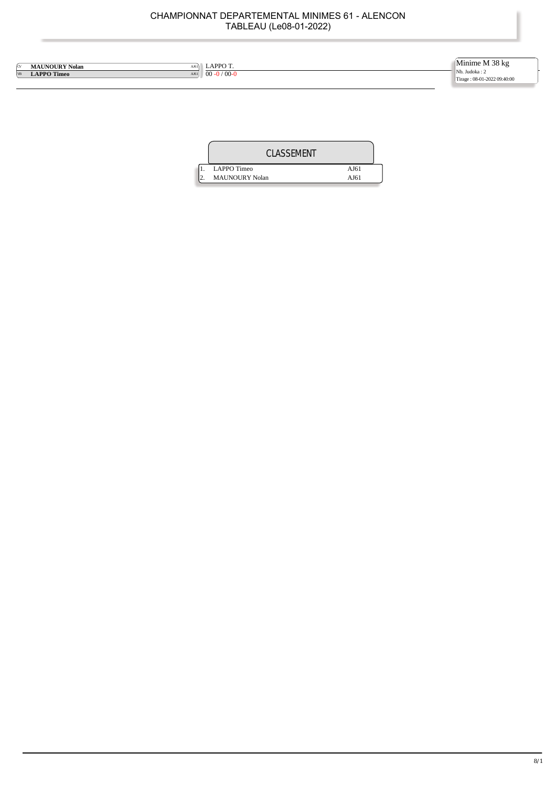| LAPPO T.<br><b>MAUNOURY Nolan</b><br>AJ61<br>ſcv<br>$00 - 0 / 00 - 0$<br><b>LAPPO Timeo</b><br><b>VB</b><br>AJ61 | Minime M 38 kg<br>Nb. Judoka: 2<br>Tirage: 08-01-2022 09:40:00 |
|------------------------------------------------------------------------------------------------------------------|----------------------------------------------------------------|
|------------------------------------------------------------------------------------------------------------------|----------------------------------------------------------------|

| <b>CLASSEMENT</b>     |      |
|-----------------------|------|
| LAPPO Timeo           | AJ61 |
| <b>MAUNOURY Nolan</b> | AJ61 |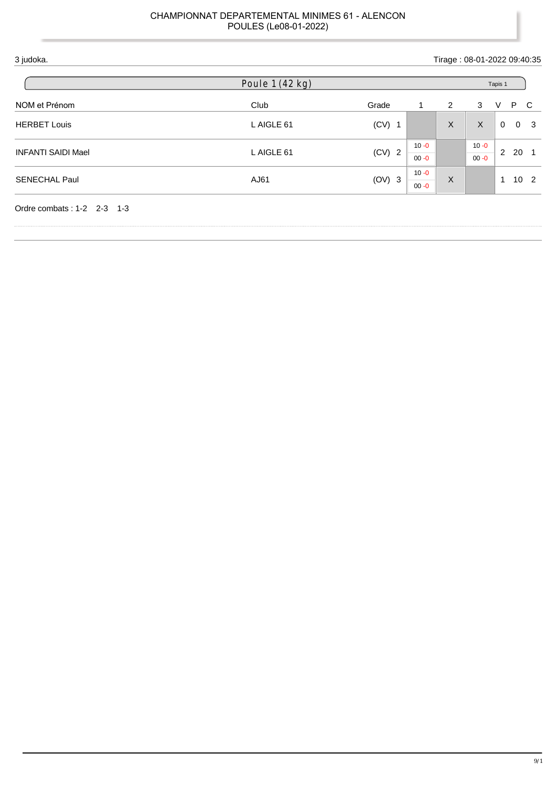|                           | Poule 1 (42 kg) |          |                      | Tapis 1 |                      |                                 |
|---------------------------|-----------------|----------|----------------------|---------|----------------------|---------------------------------|
| NOM et Prénom             | Club            | Grade    | $\mathbf{1}$         | 2       | 3                    | P C<br>V                        |
| <b>HERBET Louis</b>       | L AIGLE 61      | $(CV)$ 1 |                      | X       | $\sf X$              | $\Omega$<br>0 <sup>3</sup>      |
| <b>INFANTI SAIDI Mael</b> | L AIGLE 61      | $(CV)$ 2 | $10 - 0$<br>$00 - 0$ |         | $10 - 0$<br>$00 - 0$ | $2^{\circ}$<br>20<br>- 1        |
| <b>SENECHAL Paul</b>      | AJ61            | $(OV)$ 3 | $10 - 0$<br>$00 - 0$ | X       |                      | 10 <sub>2</sub><br>$\mathbf{1}$ |

ĭ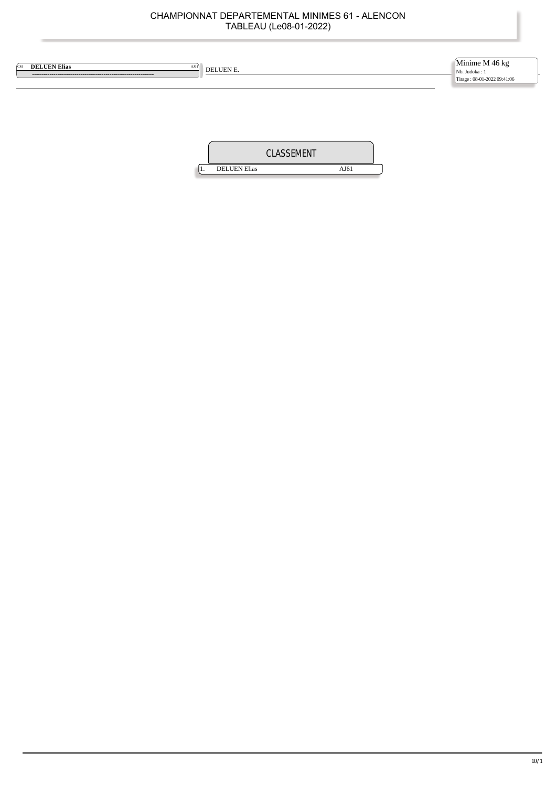| <b>DELUEN Elias</b><br><b>CM</b><br>AJ61<br>DELUEN E. | Minime M $46 \text{ kg}$<br>Nb. Judoka: 1<br>Tirage: 08-01-2022 09:41:06 |
|-------------------------------------------------------|--------------------------------------------------------------------------|
|                                                       |                                                                          |
|                                                       |                                                                          |

1. DELUEN Elias AJ61

CLASSEMENT

 $\frac{1}{2}$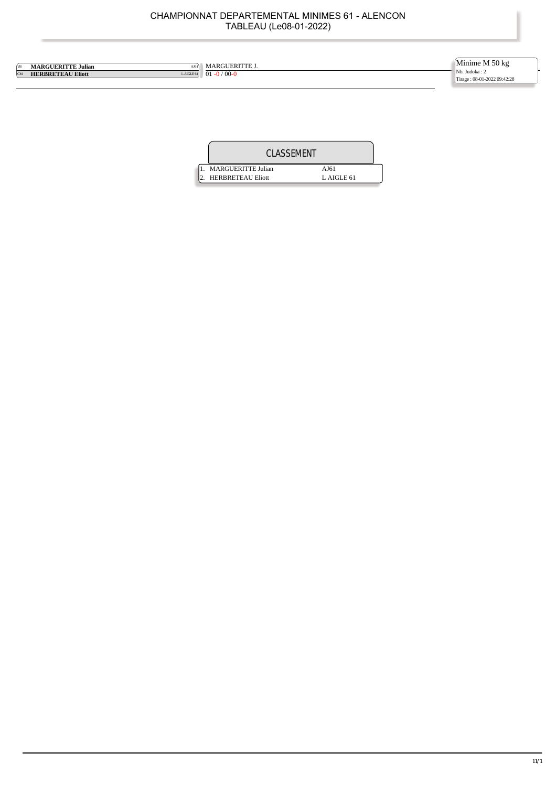MARGUERITTE J. 01 **-0** / 00**-0 MARGUERITTE Julian** (Marguerity Communist Communist Communist Communist Communist Communist Communist Communist Communist Communist Communist Communist Communist Communist Communist Communist Communist Communist Communist Minime M 50 kg Nb. Judoka : 2 Tirage : 08-01-2022 09:42:28

| CLASSEMENT               |            |  |
|--------------------------|------------|--|
| MARGUERITTE Julian       | AJ61       |  |
| <b>HERBRETEAU Eliott</b> | L AIGLE 61 |  |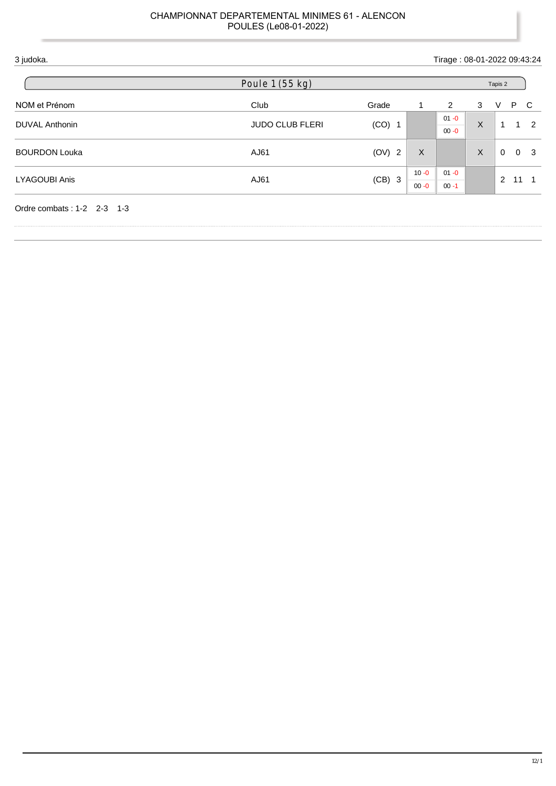|                      | Poule 1 (55 kg)        |          |          | Tapis 2              |              |              |    |                |
|----------------------|------------------------|----------|----------|----------------------|--------------|--------------|----|----------------|
| NOM et Prénom        | Club                   | Grade    | 1        | 2                    | 3            | V            | P  | C              |
| DUVAL Anthonin       | <b>JUDO CLUB FLERI</b> | $(CO)$ 1 |          | $01 - 0$<br>$00 - 0$ | $\mathsf{X}$ | $\mathbf{1}$ |    | $1 \quad 2$    |
| <b>BOURDON Louka</b> | AJ61                   | (OV) 2   | X        |                      | X            | $\mathbf{0}$ |    | 0 <sup>3</sup> |
| <b>LYAGOUBI Anis</b> | AJ61                   | $(CB)$ 3 | $10 - 0$ | $01 - 0$             |              | 2            | 11 |                |

Ï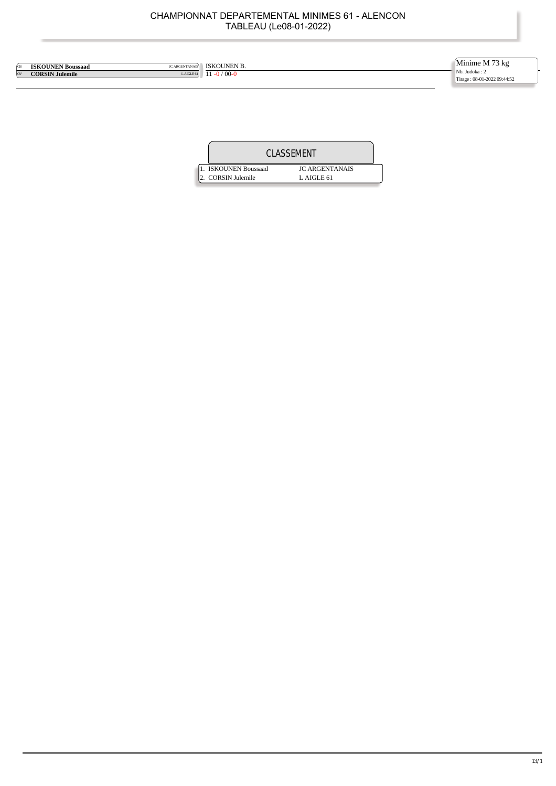ISKOUNEN B. 11 -0 / 00-0 **CB ISKOUNEN Boussaad** JC ARGENTANAIS<br> **CORSIN Julemile** LAIGLE 61 Minime M 73 kg Nb. Judoka : 2 Tirage : 08-01-2022 09:44:52

| CLASSEMENT           |                       |  |  |  |
|----------------------|-----------------------|--|--|--|
| 1. ISKOUNEN Boussaad | <b>IC ARGENTANAIS</b> |  |  |  |
| 2. CORSIN Julemile   | $L$ AIGLE 61          |  |  |  |